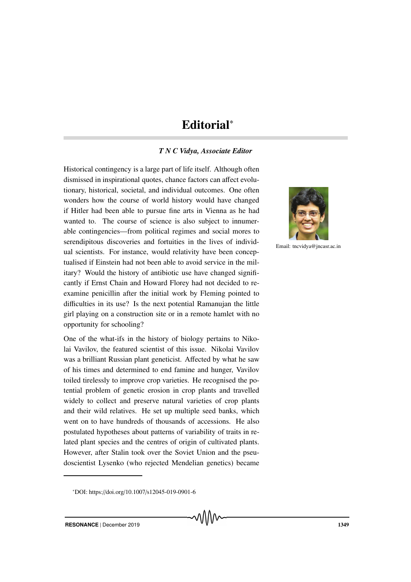## Editorial<sup>∗</sup>

## *T N C Vidya, Associate Editor*

Historical contingency is a large part of life itself. Although often dismissed in inspirational quotes, chance factors can affect evolutionary, historical, societal, and individual outcomes. One often wonders how the course of world history would have changed if Hitler had been able to pursue fine arts in Vienna as he had wanted to. The course of science is also subject to innumerable contingencies—from political regimes and social mores to serendipitous discoveries and fortuities in the lives of individual scientists. For instance, would relativity have been conceptualised if Einstein had not been able to avoid service in the military? Would the history of antibiotic use have changed significantly if Ernst Chain and Howard Florey had not decided to reexamine penicillin after the initial work by Fleming pointed to difficulties in its use? Is the next potential Ramanujan the little girl playing on a construction site or in a remote hamlet with no opportunity for schooling?

One of the what-ifs in the history of biology pertains to Nikolai Vavilov, the featured scientist of this issue. Nikolai Vavilov was a brilliant Russian plant geneticist. Affected by what he saw of his times and determined to end famine and hunger, Vavilov toiled tirelessly to improve crop varieties. He recognised the potential problem of genetic erosion in crop plants and travelled widely to collect and preserve natural varieties of crop plants and their wild relatives. He set up multiple seed banks, which went on to have hundreds of thousands of accessions. He also postulated hypotheses about patterns of variability of traits in related plant species and the centres of origin of cultivated plants. However, after Stalin took over the Soviet Union and the pseudoscientist Lysenko (who rejected Mendelian genetics) became



Email: tncvidya@jncasr.ac.in

<sup>∗</sup>DOI: https://doi.org/10.1007/s12045-019-0901-6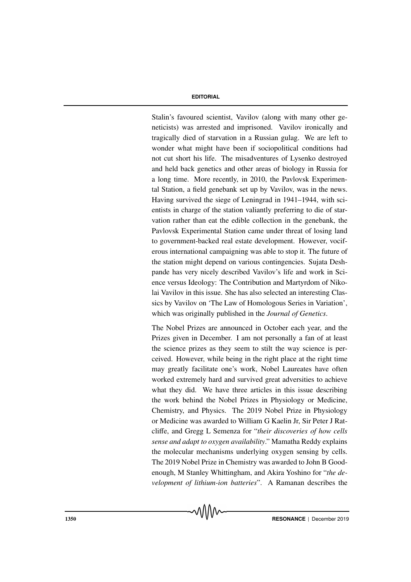## **EDITORIAL**

Stalin's favoured scientist, Vavilov (along with many other geneticists) was arrested and imprisoned. Vavilov ironically and tragically died of starvation in a Russian gulag. We are left to wonder what might have been if sociopolitical conditions had not cut short his life. The misadventures of Lysenko destroyed and held back genetics and other areas of biology in Russia for a long time. More recently, in 2010, the Pavlovsk Experimental Station, a field genebank set up by Vavilov, was in the news. Having survived the siege of Leningrad in 1941–1944, with scientists in charge of the station valiantly preferring to die of starvation rather than eat the edible collection in the genebank, the Pavlovsk Experimental Station came under threat of losing land to government-backed real estate development. However, vociferous international campaigning was able to stop it. The future of the station might depend on various contingencies. Sujata Deshpande has very nicely described Vavilov's life and work in Science versus Ideology: The Contribution and Martyrdom of Nikolai Vavilov in this issue. She has also selected an interesting Classics by Vavilov on 'The Law of Homologous Series in Variation', which was originally published in the *Journal of Genetics*.

The Nobel Prizes are announced in October each year, and the Prizes given in December. I am not personally a fan of at least the science prizes as they seem to stilt the way science is perceived. However, while being in the right place at the right time may greatly facilitate one's work, Nobel Laureates have often worked extremely hard and survived great adversities to achieve what they did. We have three articles in this issue describing the work behind the Nobel Prizes in Physiology or Medicine, Chemistry, and Physics. The 2019 Nobel Prize in Physiology or Medicine was awarded to William G Kaelin Jr, Sir Peter J Ratcliffe, and Gregg L Semenza for "*their discoveries of how cells sense and adapt to oxygen availability*." Mamatha Reddy explains the molecular mechanisms underlying oxygen sensing by cells. The 2019 Nobel Prize in Chemistry was awarded to John B Goodenough, M Stanley Whittingham, and Akira Yoshino for "*the development of lithium-ion batteries*". A Ramanan describes the